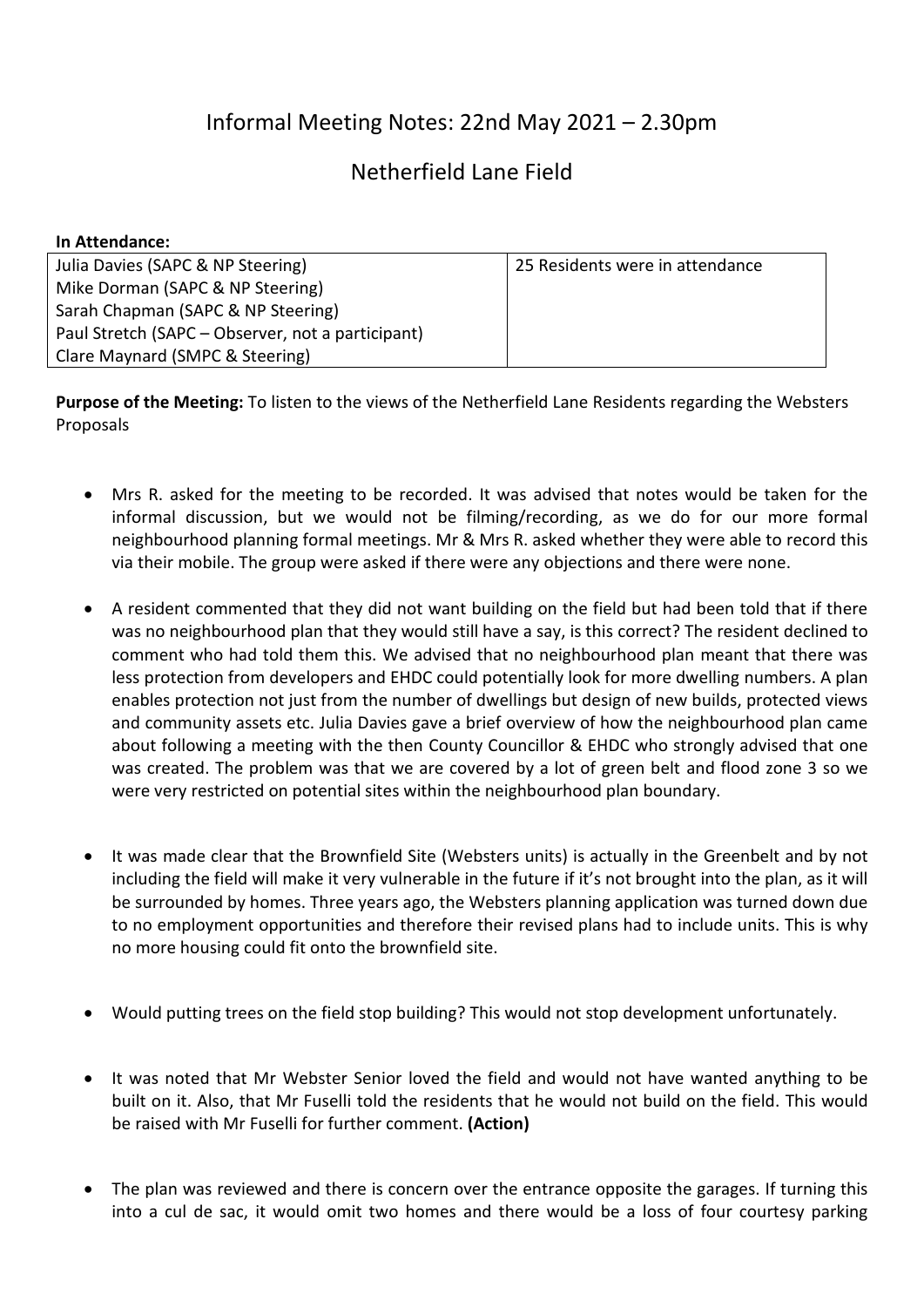## Informal Meeting Notes: 22nd May 2021 – 2.30pm

## Netherfield Lane Field

| In Attendance:                                    |                                 |
|---------------------------------------------------|---------------------------------|
| Julia Davies (SAPC & NP Steering)                 | 25 Residents were in attendance |
| Mike Dorman (SAPC & NP Steering)                  |                                 |
| Sarah Chapman (SAPC & NP Steering)                |                                 |
| Paul Stretch (SAPC – Observer, not a participant) |                                 |
| Clare Maynard (SMPC & Steering)                   |                                 |

**Purpose of the Meeting:** To listen to the views of the Netherfield Lane Residents regarding the Websters Proposals

- Mrs R. asked for the meeting to be recorded. It was advised that notes would be taken for the informal discussion, but we would not be filming/recording, as we do for our more formal neighbourhood planning formal meetings. Mr & Mrs R. asked whether they were able to record this via their mobile. The group were asked if there were any objections and there were none.
- A resident commented that they did not want building on the field but had been told that if there was no neighbourhood plan that they would still have a say, is this correct? The resident declined to comment who had told them this. We advised that no neighbourhood plan meant that there was less protection from developers and EHDC could potentially look for more dwelling numbers. A plan enables protection not just from the number of dwellings but design of new builds, protected views and community assets etc. Julia Davies gave a brief overview of how the neighbourhood plan came about following a meeting with the then County Councillor & EHDC who strongly advised that one was created. The problem was that we are covered by a lot of green belt and flood zone 3 so we were very restricted on potential sites within the neighbourhood plan boundary.
- It was made clear that the Brownfield Site (Websters units) is actually in the Greenbelt and by not including the field will make it very vulnerable in the future if it's not brought into the plan, as it will be surrounded by homes. Three years ago, the Websters planning application was turned down due to no employment opportunities and therefore their revised plans had to include units. This is why no more housing could fit onto the brownfield site.
- Would putting trees on the field stop building? This would not stop development unfortunately.
- It was noted that Mr Webster Senior loved the field and would not have wanted anything to be built on it. Also, that Mr Fuselli told the residents that he would not build on the field. This would be raised with Mr Fuselli for further comment. **(Action)**
- The plan was reviewed and there is concern over the entrance opposite the garages. If turning this into a cul de sac, it would omit two homes and there would be a loss of four courtesy parking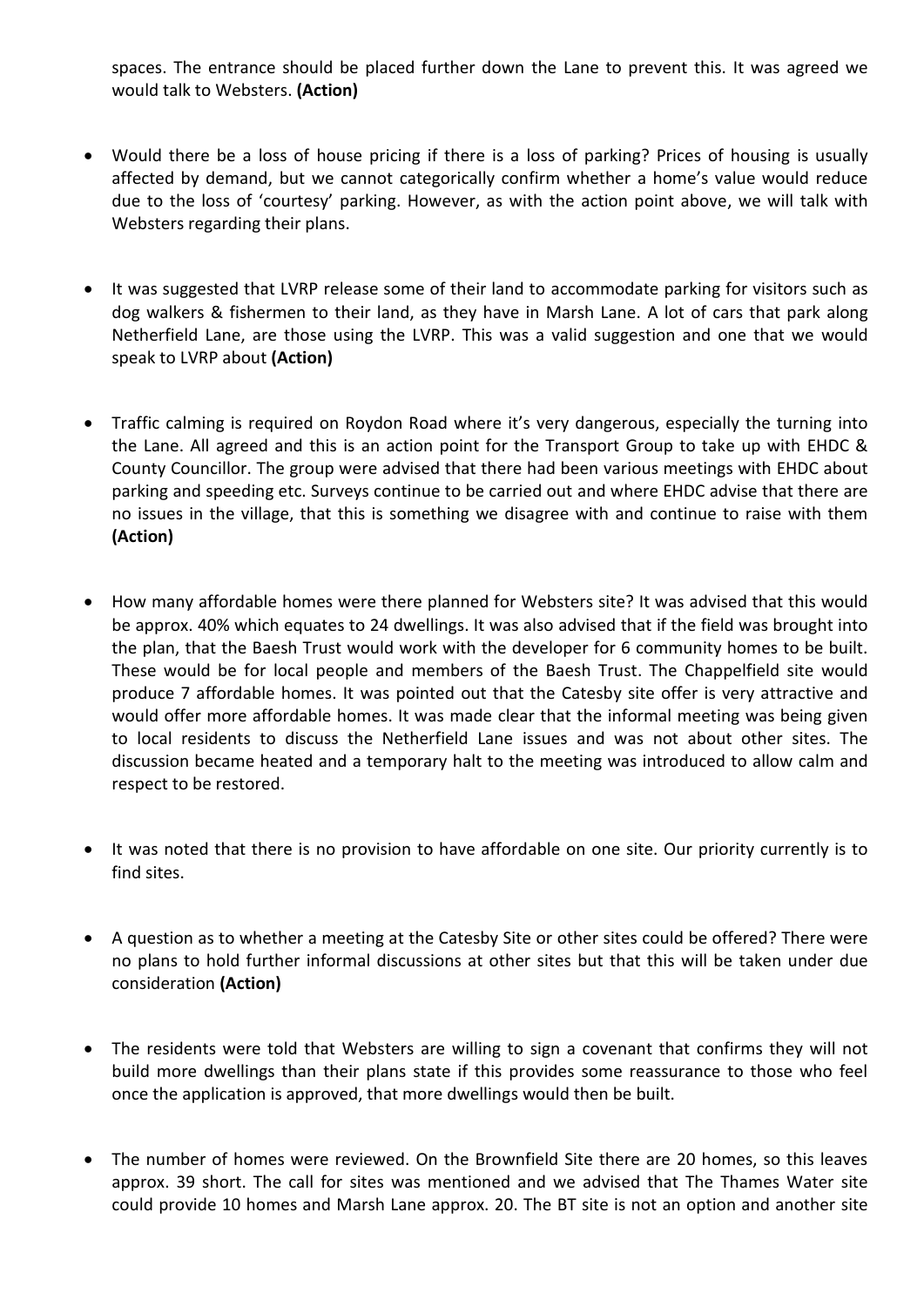spaces. The entrance should be placed further down the Lane to prevent this. It was agreed we would talk to Websters. **(Action)**

- Would there be a loss of house pricing if there is a loss of parking? Prices of housing is usually affected by demand, but we cannot categorically confirm whether a home's value would reduce due to the loss of 'courtesy' parking. However, as with the action point above, we will talk with Websters regarding their plans.
- It was suggested that LVRP release some of their land to accommodate parking for visitors such as dog walkers & fishermen to their land, as they have in Marsh Lane. A lot of cars that park along Netherfield Lane, are those using the LVRP. This was a valid suggestion and one that we would speak to LVRP about **(Action)**
- Traffic calming is required on Roydon Road where it's very dangerous, especially the turning into the Lane. All agreed and this is an action point for the Transport Group to take up with EHDC & County Councillor. The group were advised that there had been various meetings with EHDC about parking and speeding etc. Surveys continue to be carried out and where EHDC advise that there are no issues in the village, that this is something we disagree with and continue to raise with them **(Action)**
- How many affordable homes were there planned for Websters site? It was advised that this would be approx. 40% which equates to 24 dwellings. It was also advised that if the field was brought into the plan, that the Baesh Trust would work with the developer for 6 community homes to be built. These would be for local people and members of the Baesh Trust. The Chappelfield site would produce 7 affordable homes. It was pointed out that the Catesby site offer is very attractive and would offer more affordable homes. It was made clear that the informal meeting was being given to local residents to discuss the Netherfield Lane issues and was not about other sites. The discussion became heated and a temporary halt to the meeting was introduced to allow calm and respect to be restored.
- It was noted that there is no provision to have affordable on one site. Our priority currently is to find sites.
- A question as to whether a meeting at the Catesby Site or other sites could be offered? There were no plans to hold further informal discussions at other sites but that this will be taken under due consideration **(Action)**
- The residents were told that Websters are willing to sign a covenant that confirms they will not build more dwellings than their plans state if this provides some reassurance to those who feel once the application is approved, that more dwellings would then be built.
- The number of homes were reviewed. On the Brownfield Site there are 20 homes, so this leaves approx. 39 short. The call for sites was mentioned and we advised that The Thames Water site could provide 10 homes and Marsh Lane approx. 20. The BT site is not an option and another site